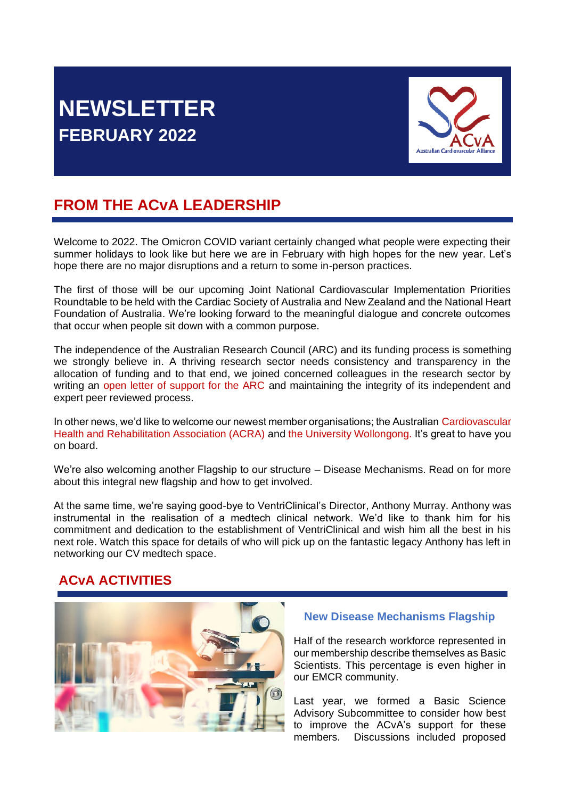# **NEWSLETTER FEBRUARY 2022**



## **FROM THE ACvA LEADERSHIP**

Welcome to 2022. The Omicron COVID variant certainly changed what people were expecting their summer holidays to look like but here we are in February with high hopes for the new year. Let's hope there are no major disruptions and a return to some in-person practices.

The first of those will be our upcoming Joint National Cardiovascular Implementation Priorities Roundtable to be held with the Cardiac Society of Australia and New Zealand and the National Heart Foundation of Australia. We're looking forward to the meaningful dialogue and concrete outcomes that occur when people sit down with a common purpose.

The independence of the Australian Research Council (ARC) and its funding process is something we strongly believe in. A thriving research sector needs consistency and transparency in the allocation of funding and to that end, we joined concerned colleagues in the research sector by writing an [open letter of support for the ARC](https://www.ozheart.org/acva-arc-statement/) and maintaining the integrity of its independent and expert peer reviewed process.

In other news, we'd like to welcome our newest member organisations; the Australian [Cardiovascular](https://www.acra.net.au/)  [Health and Rehabilitation Association \(ACRA\)](https://www.acra.net.au/) and [the University Wollongong.](https://www.uow.edu.au/) It's great to have you on board.

We're also welcoming another Flagship to our structure – Disease Mechanisms. Read on for more about this integral new flagship and how to get involved.

At the same time, we're saying good-bye to VentriClinical's Director, Anthony Murray. Anthony was instrumental in the realisation of a medtech clinical network. We'd like to thank him for his commitment and dedication to the establishment of VentriClinical and wish him all the best in his next role. Watch this space for details of who will pick up on the fantastic legacy Anthony has left in networking our CV medtech space.

### **ACvA ACTIVITIES**



#### **New Disease Mechanisms Flagship**

Half of the research workforce represented in our membership describe themselves as Basic Scientists. This percentage is even higher in our EMCR community.

Last year, we formed a Basic Science Advisory Subcommittee to consider how best to improve the ACvA's support for these members. Discussions included proposed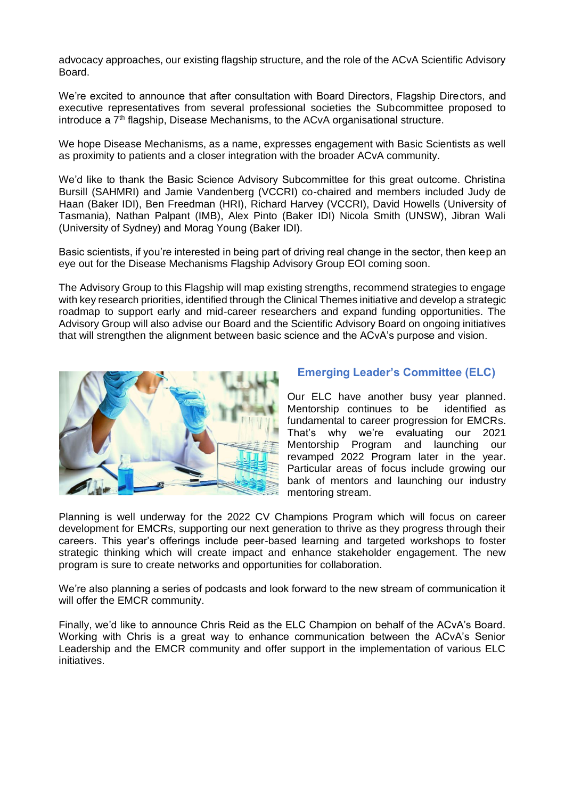advocacy approaches, our existing flagship structure, and the role of the ACvA Scientific Advisory Board.

We're excited to announce that after consultation with Board Directors, Flagship Directors, and executive representatives from several professional societies the Subcommittee proposed to introduce a  $7<sup>th</sup>$  flagship, Disease Mechanisms, to the ACvA organisational structure.

We hope Disease Mechanisms, as a name, expresses engagement with Basic Scientists as well as proximity to patients and a closer integration with the broader ACvA community.

We'd like to thank the Basic Science Advisory Subcommittee for this great outcome. Christina Bursill (SAHMRI) and Jamie Vandenberg (VCCRI) co-chaired and members included Judy de Haan (Baker IDI), Ben Freedman (HRI), Richard Harvey (VCCRI), David Howells (University of Tasmania), Nathan Palpant (IMB), Alex Pinto (Baker IDI) Nicola Smith (UNSW), Jibran Wali (University of Sydney) and Morag Young (Baker IDI).

Basic scientists, if you're interested in being part of driving real change in the sector, then keep an eye out for the Disease Mechanisms Flagship Advisory Group EOI coming soon.

The Advisory Group to this Flagship will map existing strengths, recommend strategies to engage with key research priorities, identified through the Clinical Themes initiative and develop a strategic roadmap to support early and mid-career researchers and expand funding opportunities. The Advisory Group will also advise our Board and the Scientific Advisory Board on ongoing initiatives that will strengthen the alignment between basic science and the ACvA's purpose and vision.



#### **Emerging Leader's Committee (ELC)**

Our ELC have another busy year planned. Mentorship continues to be identified as fundamental to career progression for EMCRs. That's why we're evaluating our 2021 Mentorship Program and launching our revamped 2022 Program later in the year. Particular areas of focus include growing our bank of mentors and launching our industry mentoring stream.

Planning is well underway for the 2022 CV Champions Program which will focus on career development for EMCRs, supporting our next generation to thrive as they progress through their careers. This year's offerings include peer-based learning and targeted workshops to foster strategic thinking which will create impact and enhance stakeholder engagement. The new program is sure to create networks and opportunities for collaboration.

We're also planning a series of podcasts and look forward to the new stream of communication it will offer the EMCR community.

Finally, we'd like to announce Chris Reid as the ELC Champion on behalf of the ACvA's Board. Working with Chris is a great way to enhance communication between the ACvA's Senior Leadership and the EMCR community and offer support in the implementation of various ELC initiatives.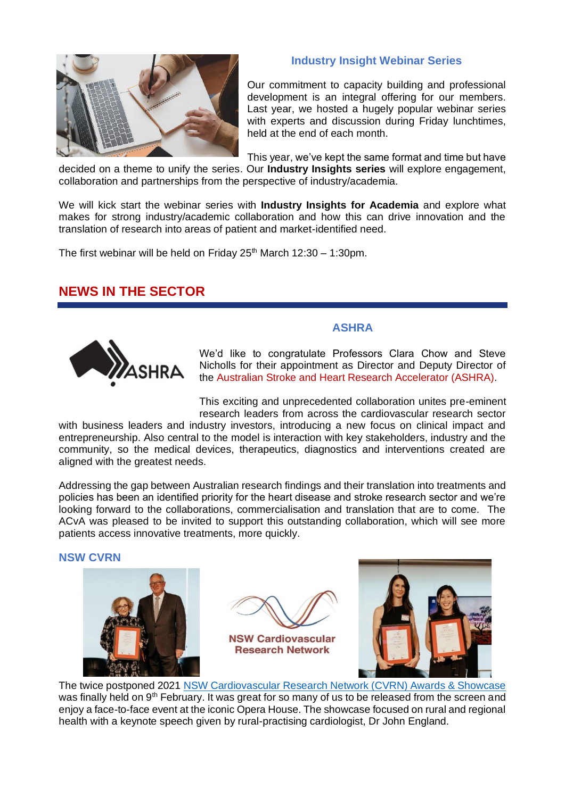

### **Industry Insight Webinar Series**

Our commitment to capacity building and professional development is an integral offering for our members. Last year, we hosted a hugely popular webinar series with experts and discussion during Friday lunchtimes. held at the end of each month.

This year, we've kept the same format and time but have

decided on a theme to unify the series. Our **Industry Insights series** will explore engagement, collaboration and partnerships from the perspective of industry/academia.

We will kick start the webinar series with **Industry Insights for Academia** and explore what makes for strong industry/academic collaboration and how this can drive innovation and the translation of research into areas of patient and market-identified need.

The first webinar will be held on Friday  $25<sup>th</sup>$  March 12:30 – 1:30pm.

### **NEWS IN THE SECTOR**



We'd like to congratulate Professors Clara Chow and Steve Nicholls for their appointment as Director and Deputy Director of the [Australian Stroke and Heart Research Accelerator \(ASHRA\).](https://www.mtpconnect.org.au/programs/TTRA/ResearchCentres/ASHRA)

**ASHRA**

This exciting and unprecedented collaboration unites pre-eminent research leaders from across the cardiovascular research sector

with business leaders and industry investors, introducing a new focus on clinical impact and entrepreneurship. Also central to the model is interaction with key stakeholders, industry and the community, so the medical devices, therapeutics, diagnostics and interventions created are aligned with the greatest needs.

Addressing the gap between Australian research findings and their translation into treatments and policies has been an identified priority for the heart disease and stroke research sector and we're looking forward to the collaborations, commercialisation and translation that are to come. The ACvA was pleased to be invited to support this outstanding collaboration, which will see more patients access innovative treatments, more quickly.

#### **NSW CVRN**







The twice postponed 2021 [NSW Cardiovascular Research Network \(CVRN\) Awards & Showcase](https://www.heartfoundation.org.au/media-releases/NSW-awards-top-female-researchers) was finally held on 9<sup>th</sup> February. It was great for so many of us to be released from the screen and enjoy a face-to-face event at the iconic Opera House. The showcase focused on rural and regional health with a keynote speech given by rural-practising cardiologist, Dr John England.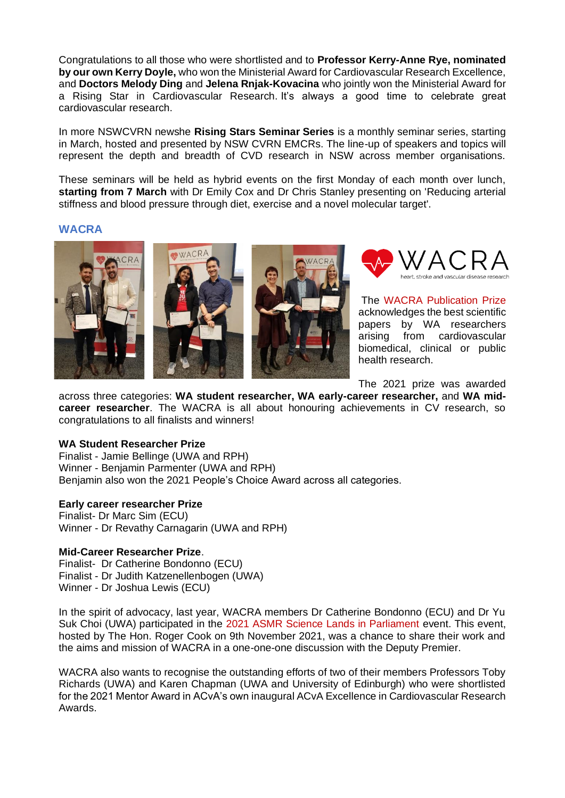Congratulations to all those who were shortlisted and to **Professor Kerry-Anne Rye, nominated by our own Kerry Doyle,** who won the Ministerial Award for Cardiovascular Research Excellence, and **Doctors Melody Ding** and **Jelena Rnjak-Kovacina** who jointly won the Ministerial Award for a Rising Star in Cardiovascular Research. It's always a good time to celebrate great cardiovascular research.

In more NSWCVRN newshe **Rising Stars Seminar Series** is a monthly seminar series, starting in March, hosted and presented by NSW CVRN EMCRs. The line-up of speakers and topics will represent the depth and breadth of CVD research in NSW across member organisations.

These seminars will be held as hybrid events on the first Monday of each month over lunch, **starting from 7 March** with Dr Emily Cox and Dr Chris Stanley presenting on 'Reducing arterial stiffness and blood pressure through diet, exercise and a novel molecular target'.

#### **WACRA**





The [WACRA Publication Prize](https://www.waheart.info/news-events) acknowledges the best scientific papers by WA researchers arising from cardiovascular biomedical, clinical or public health research.

The 2021 prize was awarded

across three categories: **WA student researcher, WA early-career researcher,** and **WA midcareer researcher**. The WACRA is all about honouring achievements in CV research, so congratulations to all finalists and winners!

#### **WA Student Researcher Prize**

Finalist - Jamie Bellinge (UWA and RPH) Winner - Benjamin Parmenter (UWA and RPH) Benjamin also won the 2021 People's Choice Award across all categories.

#### **Early career researcher Prize**

Finalist- Dr Marc Sim (ECU) Winner - Dr Revathy Carnagarin (UWA and RPH)

#### **Mid-Career Researcher Prize**.

Finalist- Dr Catherine Bondonno (ECU) Finalist - Dr Judith Katzenellenbogen (UWA) Winner - Dr Joshua Lewis (ECU)

In the spirit of advocacy, last year, WACRA members Dr Catherine Bondonno (ECU) and Dr Yu Suk Choi (UWA) participated in the [2021 ASMR Science Lands in Parliament](https://asmr.org.au/wp-content/uploads/2021/09/ASMR-SLIP-Poster-and-Call-for-Abstracts_2021.pdf) event. This event, hosted by The Hon. Roger Cook on 9th November 2021, was a chance to share their work and the aims and mission of WACRA in a one-one-one discussion with the Deputy Premier.

WACRA also wants to recognise the outstanding efforts of two of their members Professors Toby Richards (UWA) and Karen Chapman (UWA and University of Edinburgh) who were shortlisted for the 2021 Mentor Award in ACvA's own inaugural ACvA Excellence in Cardiovascular Research Awards.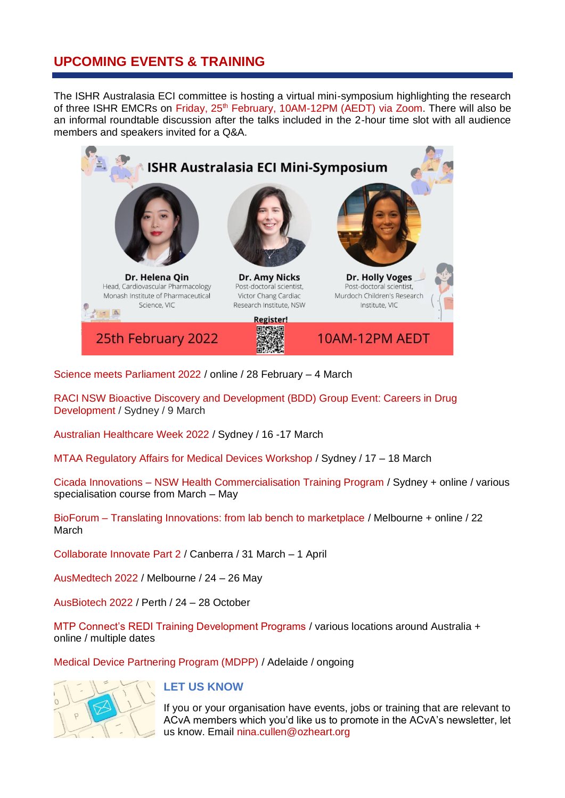### **UPCOMING EVENTS & TRAINING**

The ISHR Australasia ECI committee is hosting a virtual mini-symposium highlighting the research of three ISHR EMCRs on Friday, 25<sup>th</sup> [February, 10AM-12PM \(AEDT\) via](https://monash.zoom.us/meeting/register/tZwkceyrqzIjGdCi934NwVEgn4h66WDwIIo5) Zoom. There will also be an informal roundtable discussion after the talks included in the 2-hour time slot with all audience members and speakers invited for a Q&A.



[Science meets Parliament 2022](https://scienceandtechnologyaustralia.org.au/event/science-meets-parliament-2022/) / online / 28 February – 4 March

[RACI NSW Bioactive Discovery and Development \(BDD\) Group Event: Careers in Drug](https://raci.org.au/RACI/Web/Event_Display.aspx?EventKey=NBG1313)  [Development](https://raci.org.au/RACI/Web/Event_Display.aspx?EventKey=NBG1313) / Sydney / 9 March

[Australian Healthcare Week 2022](https://www.ahwdigital.com.au/events-austhealthweek) / Sydney / 16 -17 March

[MTAA Regulatory Affairs for Medical Devices Workshop](https://www.mtaa.org.au/training/regulatory-affairs-medical-devices-workshop) / Sydney / 17 – 18 March

Cicada Innovations – [NSW Health Commercialisation Training Program](https://www.cicadainnovations.com/nswhealthctp) / Sydney + online / various specialisation course from March – May

BioForum – [Translating Innovations: from lab bench to marketplace](https://biomelbourne.org/event/translating-innovation-from-lab-bench-to-marketplace/) / Melbourne + online / 22 March

[Collaborate Innovate Part 2](https://collaborateinnovate.com.au/) / Canberra / 31 March – 1 April

[AusMedtech 2022](https://www.ausmedtech.com.au/) / Melbourne / 24 – 26 May

[AusBiotech 2022](https://www.ausbiotech.org/events/event/AusBiotech2022) / Perth / 24 – 28 October

[MTP Connect's REDI Training Development Programs](https://www.mtpconnect.org.au/images/MTPConnect%20REDI%20Training%20Development%20Programs%20-%20Brochure.pdf) / various locations around Australia + online / multiple dates

[Medical Device Partnering Program \(MDPP\)](https://mdpp.org.au/) / Adelaide / ongoing



#### **LET US KNOW**

If you or your organisation have events, jobs or training that are relevant to ACvA members which you'd like us to promote in the ACvA's newsletter, let us know. Email [nina.cullen@ozheart.org](mailto:nina.cullen@ozheart.org)